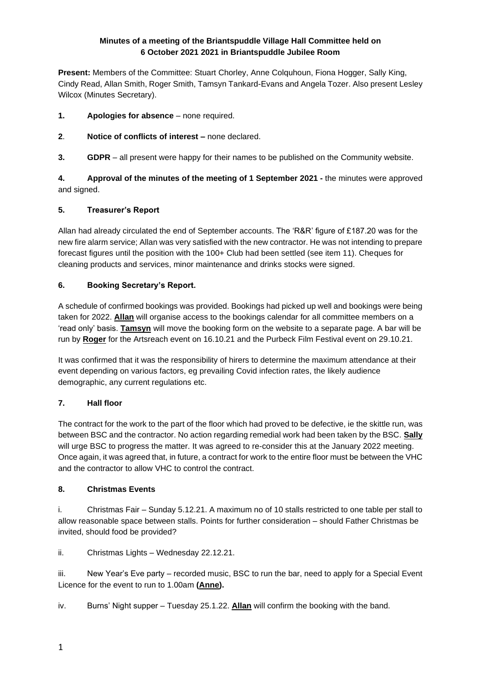# **Minutes of a meeting of the Briantspuddle Village Hall Committee held on 6 October 2021 2021 in Briantspuddle Jubilee Room**

**Present:** Members of the Committee: Stuart Chorley, Anne Colquhoun, Fiona Hogger, Sally King, Cindy Read, Allan Smith, Roger Smith, Tamsyn Tankard-Evans and Angela Tozer. Also present Lesley Wilcox (Minutes Secretary).

- **1. Apologies for absence**  none required.
- **2**. **Notice of conflicts of interest –** none declared.

**3. GDPR** – all present were happy for their names to be published on the Community website.

**4. Approval of the minutes of the meeting of 1 September 2021 -** the minutes were approved and signed.

# **5. Treasurer's Report**

Allan had already circulated the end of September accounts. The 'R&R' figure of £187.20 was for the new fire alarm service; Allan was very satisfied with the new contractor. He was not intending to prepare forecast figures until the position with the 100+ Club had been settled (see item 11). Cheques for cleaning products and services, minor maintenance and drinks stocks were signed.

# **6. Booking Secretary's Report.**

A schedule of confirmed bookings was provided. Bookings had picked up well and bookings were being taken for 2022. **Allan** will organise access to the bookings calendar for all committee members on a 'read only' basis. **Tamsyn** will move the booking form on the website to a separate page. A bar will be run by **Roger** for the Artsreach event on 16.10.21 and the Purbeck Film Festival event on 29.10.21.

It was confirmed that it was the responsibility of hirers to determine the maximum attendance at their event depending on various factors, eg prevailing Covid infection rates, the likely audience demographic, any current regulations etc.

# **7. Hall floor**

The contract for the work to the part of the floor which had proved to be defective, ie the skittle run, was between BSC and the contractor. No action regarding remedial work had been taken by the BSC. **Sally** will urge BSC to progress the matter. It was agreed to re-consider this at the January 2022 meeting. Once again, it was agreed that, in future, a contract for work to the entire floor must be between the VHC and the contractor to allow VHC to control the contract.

# **8. Christmas Events**

i. Christmas Fair – Sunday 5.12.21. A maximum no of 10 stalls restricted to one table per stall to allow reasonable space between stalls. Points for further consideration – should Father Christmas be invited, should food be provided?

ii. Christmas Lights – Wednesday 22.12.21.

iii. New Year's Eve party – recorded music, BSC to run the bar, need to apply for a Special Event Licence for the event to run to 1.00am **(Anne).**

iv. Burns' Night supper – Tuesday 25.1.22. **Allan** will confirm the booking with the band.